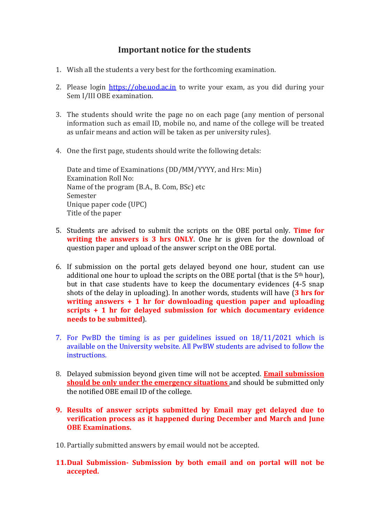## Important notice for the students

- 1. Wish all the students a very best for the forthcoming examination.
- 2. Please login https://obe.uod.ac.in to write your exam, as you did during your Sem I/III OBE examination.
- 3. The students should write the page no on each page (any mention of personal information such as email ID, mobile no, and name of the college will be treated as unfair means and action will be taken as per university rules).
- 4. One the first page, students should write the following detals:

Date and time of Examinations (DD/MM/YYYY, and Hrs: Min) Examination Roll No: Name of the program (B.A., B. Com, BSc) etc Semester Unique paper code (UPC) Title of the paper

- 5. Students are advised to submit the scripts on the OBE portal only. Time for writing the answers is 3 hrs ONLY. One hr is given for the download of question paper and upload of the answer script on the OBE portal.
- 6. If submission on the portal gets delayed beyond one hour, student can use additional one hour to upload the scripts on the OBE portal (that is the 5<sup>th</sup> hour), but in that case students have to keep the documentary evidences (4-5 snap shots of the delay in uploading). In another words, students will have  $(3 \text{ hrs for})$ writing answers + 1 hr for downloading question paper and uploading scripts + 1 hr for delayed submission for which documentary evidence needs to be submitted).
- 7. For PwBD the timing is as per guidelines issued on 18/11/2021 which is available on the University website. All PwBW students are advised to follow the instructions.
- 8. Delayed submission beyond given time will not be accepted. **Email submission** should be only under the emergency situations and should be submitted only the notified OBE email ID of the college.
- 9. Results of answer scripts submitted by Email may get delayed due to verification process as it happened during December and March and June OBE Examinations.
- 10. Partially submitted answers by email would not be accepted.
- 11.Dual Submission- Submission by both email and on portal will not be accepted.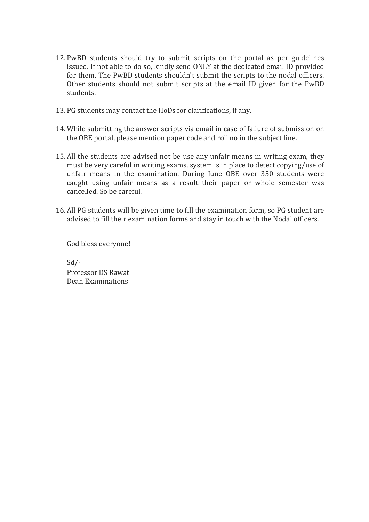- 12. PwBD students should try to submit scripts on the portal as per guidelines issued. If not able to do so, kindly send ONLY at the dedicated email ID provided for them. The PwBD students shouldn't submit the scripts to the nodal officers. Other students should not submit scripts at the email ID given for the PwBD students.
- 13. PG students may contact the HoDs for clarifications, if any.
- 14. While submitting the answer scripts via email in case of failure of submission on the OBE portal, please mention paper code and roll no in the subject line.
- 15. All the students are advised not be use any unfair means in writing exam, they must be very careful in writing exams, system is in place to detect copying/use of unfair means in the examination. During June OBE over 350 students were caught using unfair means as a result their paper or whole semester was cancelled. So be careful.
- 16. All PG students will be given time to fill the examination form, so PG student are advised to fill their examination forms and stay in touch with the Nodal officers.

God bless everyone!

Sd/- Professor DS Rawat Dean Examinations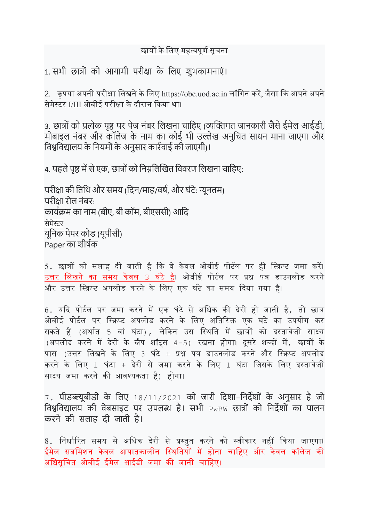## <u>छात्रों के लिए महत्वपूर्ण सूचना</u>

1. सभी छात्रों को आगामी परीक्षा के लिए शुभकामनाएं।

2. कपया अपनी परीक्षा लिखने के लिए https://obe.uod.ac.in लॉगिन करें, जैसा कि आपने अपने सेमेस्टर I/III ओबीई परीक्षा के दौरान किया था।

3. छात्रों को प्रत्येक पृष्ठ पर पेज नंबर लिखना चाहिए (व्यक्तिगत जानकारी जैसे ईमेल आईडी, मोबाइल नंबर और कॉलेज के नाम का कोई भी उल्लेख अनुचित साधन माना जाएगा और विश्वविद्यालय के नियमों के अनुसार कार्रवाई की जाएगी)।

4. पहले पृष्ठ में से एक, छात्रों को निम्नलिखित विवरण लिखना चाहिए:

परीक्षा की तिथि और समय (दिन/माह/वर्ष, और घंटे: न्यूनतम) परीƗा रोल नंबर: कार्यक्रम का नाम (बीए, बी कॉम, बीएससी) आदि सेमेस्टर यूिनक पेपर कोड (यूपीसी) Paper का शीर्षक

5. छात्रों को सलाह दी जाती है कि वे केवल ओबीई पोर्टल पर ही स्क्रिप्ट जमा करें। उत्तर लिखने का समय केवल 3 घ<u>ंटे ह</u>ै। ओबीई पोर्टल पर प्रश्न पत्र डाउनलोड करने और उत्तर स्क्रिप्ट अपलोड करने के लिए एक घंटे का समय दिया गया है।

 $6.$  यदि पोर्टल पर जमा करने में एक घंटे से अधिक की देरी हो जाती है, तो छात्र ओबीई पोर्टल पर स्क्रिप्ट अपलोड करने के लिए अतिरिक्त एक घंटे का उपयोग कर सकते हैं (अर्थात 5 वां घंटा), लेकिन उस स्थिति में छात्रों को दस्तावेजी साक्ष्य  $(314 \text{ m})$ ति करने में देरी के स्नैप शॉटस 4-5) रखना होगा। दसरे शब्दों में, छात्रों के पास (उत्तर लिखने के लिए 3 घंटे + प्रश्न पत्र डाउनलोड करने और स्क्रिप्ट अपलोड करने के लिए 1 घंटा + देरी से जमा करने के लिए 1 घंटा जिसके लिए दस्तावेजी साक्ष्य जमा करने की आवश्यकता है) होगा।

7. पीडɲूबीडी के िलए 18/11/2021 को जारी िदशा-िनदőशों के अनुसार है जो विश्वविद्यालय की वेबसाइट पर उपलब्ध है। सभी  $_{\rm{PwBW}}$  छात्रों को निर्देशों का पालन करने की सलाह दी जाती है।

8. निर्धारित समय से अधिक देरी से प्रस्तुत करने को स्वीकार नहीं किया जाएगा। ईमेल सबमिशन केवल आपातकालीन स्थितियों में होना चाहिए और केवल कॉलेज की अधिसूचित ओबीई ईमेल आईडी जमा की जानी चाहिए।